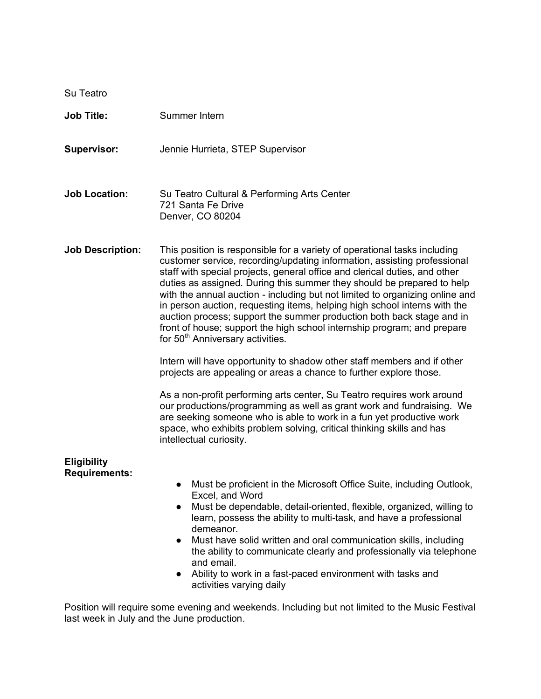| Su Teatro                                  |                                                                                                                                                                                                                                                                                                                                                                                                                                                                                                                                                                                                                                                                                                                                                                                                                                                                                                                                                                                                                                                                                                                                                                |
|--------------------------------------------|----------------------------------------------------------------------------------------------------------------------------------------------------------------------------------------------------------------------------------------------------------------------------------------------------------------------------------------------------------------------------------------------------------------------------------------------------------------------------------------------------------------------------------------------------------------------------------------------------------------------------------------------------------------------------------------------------------------------------------------------------------------------------------------------------------------------------------------------------------------------------------------------------------------------------------------------------------------------------------------------------------------------------------------------------------------------------------------------------------------------------------------------------------------|
| <b>Job Title:</b>                          | Summer Intern                                                                                                                                                                                                                                                                                                                                                                                                                                                                                                                                                                                                                                                                                                                                                                                                                                                                                                                                                                                                                                                                                                                                                  |
| <b>Supervisor:</b>                         | Jennie Hurrieta, STEP Supervisor                                                                                                                                                                                                                                                                                                                                                                                                                                                                                                                                                                                                                                                                                                                                                                                                                                                                                                                                                                                                                                                                                                                               |
| <b>Job Location:</b>                       | Su Teatro Cultural & Performing Arts Center<br>721 Santa Fe Drive<br>Denver, CO 80204                                                                                                                                                                                                                                                                                                                                                                                                                                                                                                                                                                                                                                                                                                                                                                                                                                                                                                                                                                                                                                                                          |
| <b>Job Description:</b>                    | This position is responsible for a variety of operational tasks including<br>customer service, recording/updating information, assisting professional<br>staff with special projects, general office and clerical duties, and other<br>duties as assigned. During this summer they should be prepared to help<br>with the annual auction - including but not limited to organizing online and<br>in person auction, requesting items, helping high school interns with the<br>auction process; support the summer production both back stage and in<br>front of house; support the high school internship program; and prepare<br>for 50 <sup>th</sup> Anniversary activities.<br>Intern will have opportunity to shadow other staff members and if other<br>projects are appealing or areas a chance to further explore those.<br>As a non-profit performing arts center, Su Teatro requires work around<br>our productions/programming as well as grant work and fundraising. We<br>are seeking someone who is able to work in a fun yet productive work<br>space, who exhibits problem solving, critical thinking skills and has<br>intellectual curiosity. |
| <b>Eligibility</b><br><b>Requirements:</b> | Must be proficient in the Microsoft Office Suite, including Outlook,<br>Excel, and Word<br>Must be dependable, detail-oriented, flexible, organized, willing to<br>$\bullet$<br>learn, possess the ability to multi-task, and have a professional<br>demeanor.<br>Must have solid written and oral communication skills, including<br>the ability to communicate clearly and professionally via telephone<br>and email.<br>Ability to work in a fast-paced environment with tasks and<br>activities varying daily                                                                                                                                                                                                                                                                                                                                                                                                                                                                                                                                                                                                                                              |

Position will require some evening and weekends. Including but not limited to the Music Festival last week in July and the June production.